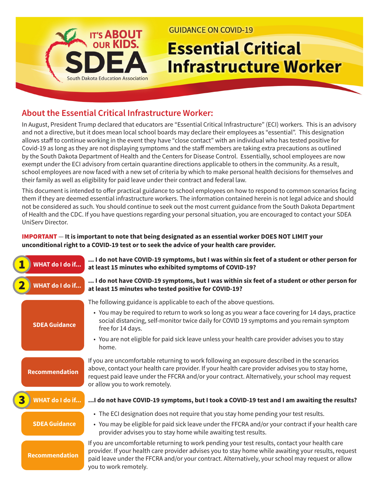

**GUIDANCE ON COVID-19** 

# **Essential Critical Infrastructure Worker**

## **About the Essential Critical Infrastructure Worker:**

In August, President Trump declared that educators are "Essential Critical Infrastructure" (ECI) workers. This is an advisory and not a directive, but it does mean local school boards may declare their employees as "essential". This designation allows staff to continue working in the event they have "close contact" with an individual who has tested positive for Covid-19 as long as they are not displaying symptoms and the staff members are taking extra precautions as outlined by the South Dakota Department of Health and the Centers for Disease Control. Essentially, school employees are now exempt under the ECI advisory from certain quarantine directions applicable to others in the community. As a result, school employees are now faced with a new set of criteria by which to make personal health decisions for themselves and their family as well as eligibility for paid leave under their contract and federal law.

This document is intended to offer practical guidance to school employees on how to respond to common scenarios facing them if they are deemed essential infrastructure workers. The information contained herein is not legal advice and should not be considered as such. You should continue to seek out the most current guidance from the South Dakota Department of Health and the CDC. If you have questions regarding your personal situation, you are encouraged to contact your SDEA UniServ Director.

#### IMPORTANT — **It is important to note that being designated as an essential worker DOES NOT LIMIT your unconditional right to a COVID-19 test or to seek the advice of your health care provider.**

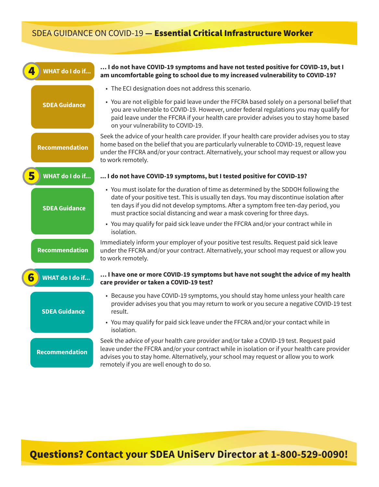## SDEA GUIDANCE ON COVID-19 **—** Essential Critical Infrastructure Worker

| <b>WHAT do I do if</b> | I do not have COVID-19 symptoms and have not tested positive for COVID-19, but I<br>am uncomfortable going to school due to my increased vulnerability to COVID-19?                                                                                                                                                                                 |
|------------------------|-----------------------------------------------------------------------------------------------------------------------------------------------------------------------------------------------------------------------------------------------------------------------------------------------------------------------------------------------------|
|                        | • The ECI designation does not address this scenario.                                                                                                                                                                                                                                                                                               |
| <b>SDEA Guidance</b>   | • You are not eligible for paid leave under the FFCRA based solely on a personal belief that<br>you are vulnerable to COVID-19. However, under federal regulations you may qualify for<br>paid leave under the FFCRA if your health care provider advises you to stay home based<br>on your vulnerability to COVID-19.                              |
| <b>Recommendation</b>  | Seek the advice of your health care provider. If your health care provider advises you to stay<br>home based on the belief that you are particularly vulnerable to COVID-19, request leave<br>under the FFCRA and/or your contract. Alternatively, your school may request or allow you<br>to work remotely.                                        |
| <b>WHAT do I do if</b> | I do not have COVID-19 symptoms, but I tested positive for COVID-19?                                                                                                                                                                                                                                                                                |
| <b>SDEA Guidance</b>   | • You must isolate for the duration of time as determined by the SDDOH following the<br>date of your positive test. This is usually ten days. You may discontinue isolation after<br>ten days if you did not develop symptoms. After a symptom free ten-day period, you<br>must practice social distancing and wear a mask covering for three days. |
|                        | • You may qualify for paid sick leave under the FFCRA and/or your contract while in<br>isolation.                                                                                                                                                                                                                                                   |
| <b>Recommendation</b>  | Immediately inform your employer of your positive test results. Request paid sick leave<br>under the FFCRA and/or your contract. Alternatively, your school may request or allow you<br>to work remotely.                                                                                                                                           |
| <b>WHAT do I do if</b> | I have one or more COVID-19 symptoms but have not sought the advice of my health<br>care provider or taken a COVID-19 test?                                                                                                                                                                                                                         |
| <b>SDEA Guidance</b>   | • Because you have COVID-19 symptoms, you should stay home unless your health care<br>provider advises you that you may return to work or you secure a negative COVID-19 test<br>result.                                                                                                                                                            |
|                        | • You may qualify for paid sick leave under the FFCRA and/or your contact while in<br>isolation.                                                                                                                                                                                                                                                    |
| <b>Recommendation</b>  | Seek the advice of your health care provider and/or take a COVID-19 test. Request paid<br>leave under the FFCRA and/or your contract while in isolation or if your health care provider<br>advises you to stay home. Alternatively, your school may request or allow you to work<br>remotely if you are well enough to do so.                       |